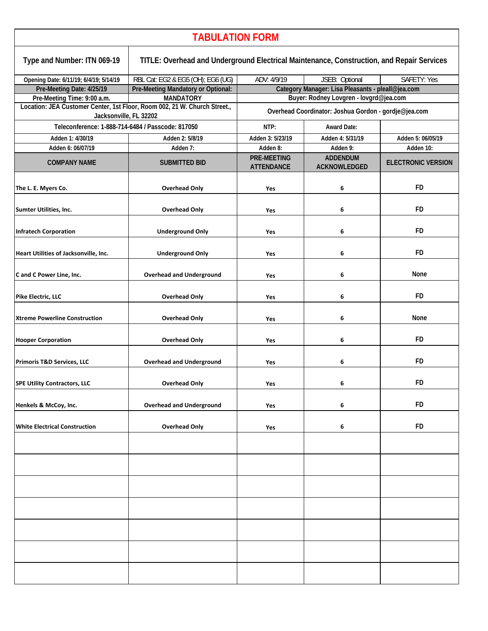| <b>TABULATION FORM</b>                                                                              |                                                                                           |                                                      |                                                   |                           |  |  |  |
|-----------------------------------------------------------------------------------------------------|-------------------------------------------------------------------------------------------|------------------------------------------------------|---------------------------------------------------|---------------------------|--|--|--|
| Type and Number: ITN 069-19                                                                         | TITLE: Overhead and Underground Electrical Maintenance, Construction, and Repair Services |                                                      |                                                   |                           |  |  |  |
| Opening Date: 6/11/19; 6/4/19; 5/14/19                                                              | RBL Cat: EG2 & EG5 (OH); EG6 (UG)                                                         | ADV: 4/9/19<br>JSEB: Optional<br><b>SAFETY: Yes</b>  |                                                   |                           |  |  |  |
| Pre-Meeting Date: 4/25/19                                                                           | Pre-Meeting Mandatory or Optional:                                                        |                                                      | Category Manager: Lisa Pleasants - pleall@jea.com |                           |  |  |  |
| Pre-Meeting Time: 9:00 a.m.                                                                         | <b>MANDATORY</b>                                                                          | Buyer: Rodney Lovgren - lovgrd@jea.com               |                                                   |                           |  |  |  |
| Location: JEA Customer Center, 1st Floor, Room 002, 21 W. Church Street.,<br>Jacksonville, FL 32202 |                                                                                           | Overhead Coordinator: Joshua Gordon - gordje@jea.com |                                                   |                           |  |  |  |
| Teleconference: 1-888-714-6484 / Passcode: 817050                                                   |                                                                                           | NTP:                                                 | <b>Award Date:</b>                                |                           |  |  |  |
| Adden 1: 4/30/19                                                                                    | Adden 2: 5/8/19                                                                           | Adden 3: 5/23/19                                     | Adden 4: 5/31/19                                  | Adden 5: 06/05/19         |  |  |  |
| Adden 6: 06/07/19                                                                                   | Adden 7:                                                                                  | Adden 8:                                             | Adden 9:                                          | Adden 10:                 |  |  |  |
| <b>COMPANY NAME</b>                                                                                 | <b>SUBMITTED BID</b>                                                                      | <b>PRE-MEETING</b><br><b>ATTENDANCE</b>              | <b>ADDENDUM</b><br><b>ACKNOWLEDGED</b>            | <b>ELECTRONIC VERSION</b> |  |  |  |
| The L. E. Myers Co.                                                                                 | <b>Overhead Only</b>                                                                      | Yes                                                  | 6                                                 | FD.                       |  |  |  |
| Sumter Utilities, Inc.                                                                              | <b>Overhead Only</b>                                                                      | Yes                                                  | 6                                                 | <b>FD</b>                 |  |  |  |
| <b>Infratech Corporation</b>                                                                        | <b>Underground Only</b>                                                                   | Yes                                                  | 6                                                 | <b>FD</b>                 |  |  |  |
| Heart Utilities of Jacksonville, Inc.                                                               | <b>Underground Only</b>                                                                   | Yes                                                  | 6                                                 | <b>FD</b>                 |  |  |  |
| C and C Power Line, Inc.                                                                            | <b>Overhead and Underground</b>                                                           | Yes                                                  | 6                                                 | None                      |  |  |  |
| Pike Electric, LLC                                                                                  | <b>Overhead Only</b>                                                                      | Yes                                                  | 6                                                 | FD                        |  |  |  |
| <b>Xtreme Powerline Construction</b>                                                                | <b>Overhead Only</b>                                                                      | Yes                                                  | 6                                                 | None                      |  |  |  |
| <b>Hooper Corporation</b>                                                                           | <b>Overhead Only</b>                                                                      | Yes                                                  | 6                                                 | FD                        |  |  |  |
| <b>Primoris T&amp;D Services, LLC</b>                                                               | <b>Overhead and Underground</b>                                                           | Yes                                                  | 6                                                 | FD.                       |  |  |  |
| <b>SPE Utility Contractors, LLC</b>                                                                 | <b>Overhead Only</b>                                                                      | Yes                                                  | 6                                                 | <b>FD</b>                 |  |  |  |
| Henkels & McCoy, Inc.                                                                               | <b>Overhead and Underground</b>                                                           | Yes                                                  | 6                                                 | <b>FD</b>                 |  |  |  |
| <b>White Electrical Construction</b>                                                                | <b>Overhead Only</b>                                                                      | Yes                                                  | 6                                                 | <b>FD</b>                 |  |  |  |
|                                                                                                     |                                                                                           |                                                      |                                                   |                           |  |  |  |
|                                                                                                     |                                                                                           |                                                      |                                                   |                           |  |  |  |
|                                                                                                     |                                                                                           |                                                      |                                                   |                           |  |  |  |
|                                                                                                     |                                                                                           |                                                      |                                                   |                           |  |  |  |
|                                                                                                     |                                                                                           |                                                      |                                                   |                           |  |  |  |
|                                                                                                     |                                                                                           |                                                      |                                                   |                           |  |  |  |
|                                                                                                     |                                                                                           |                                                      |                                                   |                           |  |  |  |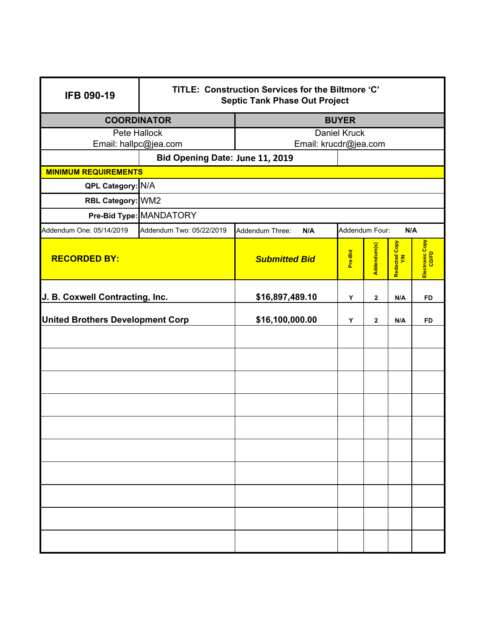| <b>IFB 090-19</b>                                | TITLE: Construction Services for the Biltmore 'C'<br><b>Septic Tank Phase Out Project</b> |                                                 |         |              |                      |                          |  |  |
|--------------------------------------------------|-------------------------------------------------------------------------------------------|-------------------------------------------------|---------|--------------|----------------------|--------------------------|--|--|
| <b>COORDINATOR</b>                               |                                                                                           | <b>BUYER</b>                                    |         |              |                      |                          |  |  |
| <b>Pete Hallock</b>                              |                                                                                           | <b>Daniel Kruck</b>                             |         |              |                      |                          |  |  |
| Email: hallpc@jea.com                            |                                                                                           | Email: krucdr@jea.com                           |         |              |                      |                          |  |  |
| Bid Opening Date: June 11, 2019                  |                                                                                           |                                                 |         |              |                      |                          |  |  |
| <b>MINIMUM REQUIREMENTS</b><br>QPL Category: N/A |                                                                                           |                                                 |         |              |                      |                          |  |  |
| RBL Category: WM2                                |                                                                                           |                                                 |         |              |                      |                          |  |  |
|                                                  | Pre-Bid Type: MANDATORY                                                                   |                                                 |         |              |                      |                          |  |  |
| Addendum One: 05/14/2019                         | Addendum Two: 05/22/2019                                                                  | Addendum Four:<br>N/A<br>Addendum Three:<br>N/A |         |              |                      |                          |  |  |
| <b>RECORDED BY:</b>                              |                                                                                           | <b>Submitted Bid</b>                            | Pre-Bid | Addendum(s)  | Redacted Copy<br>Y/N | Electronic Copy<br>CD/FD |  |  |
| J. B. Coxwell Contracting, Inc.                  |                                                                                           | \$16,897,489.10                                 | Υ       | $\mathbf{2}$ | N/A                  | <b>FD</b>                |  |  |
| <b>United Brothers Development Corp</b>          |                                                                                           | \$16,100,000.00                                 | Υ       | 2            | N/A                  | <b>FD</b>                |  |  |
|                                                  |                                                                                           |                                                 |         |              |                      |                          |  |  |
|                                                  |                                                                                           |                                                 |         |              |                      |                          |  |  |
|                                                  |                                                                                           |                                                 |         |              |                      |                          |  |  |
|                                                  |                                                                                           |                                                 |         |              |                      |                          |  |  |
|                                                  |                                                                                           |                                                 |         |              |                      |                          |  |  |
|                                                  |                                                                                           |                                                 |         |              |                      |                          |  |  |
|                                                  |                                                                                           |                                                 |         |              |                      |                          |  |  |
|                                                  |                                                                                           |                                                 |         |              |                      |                          |  |  |
|                                                  |                                                                                           |                                                 |         |              |                      |                          |  |  |
|                                                  |                                                                                           |                                                 |         |              |                      |                          |  |  |